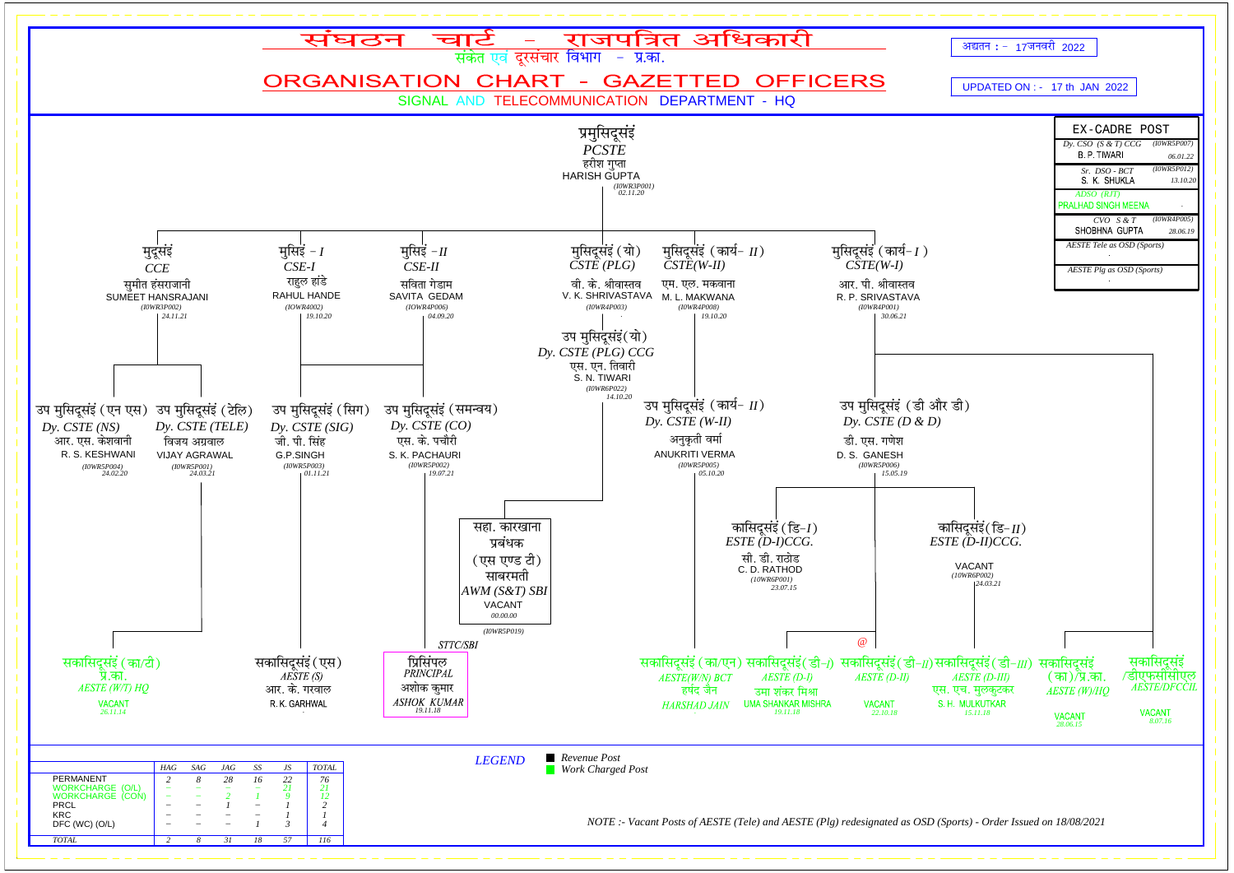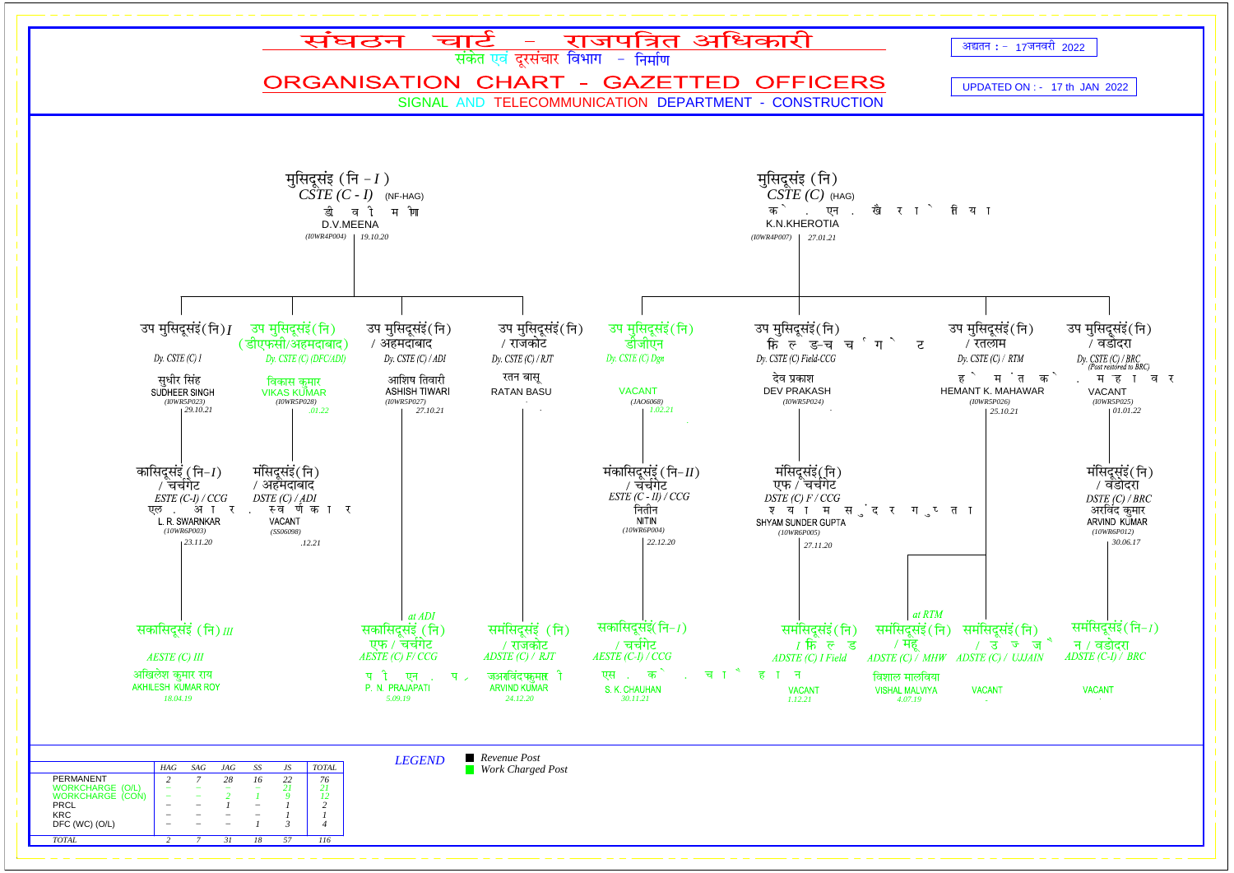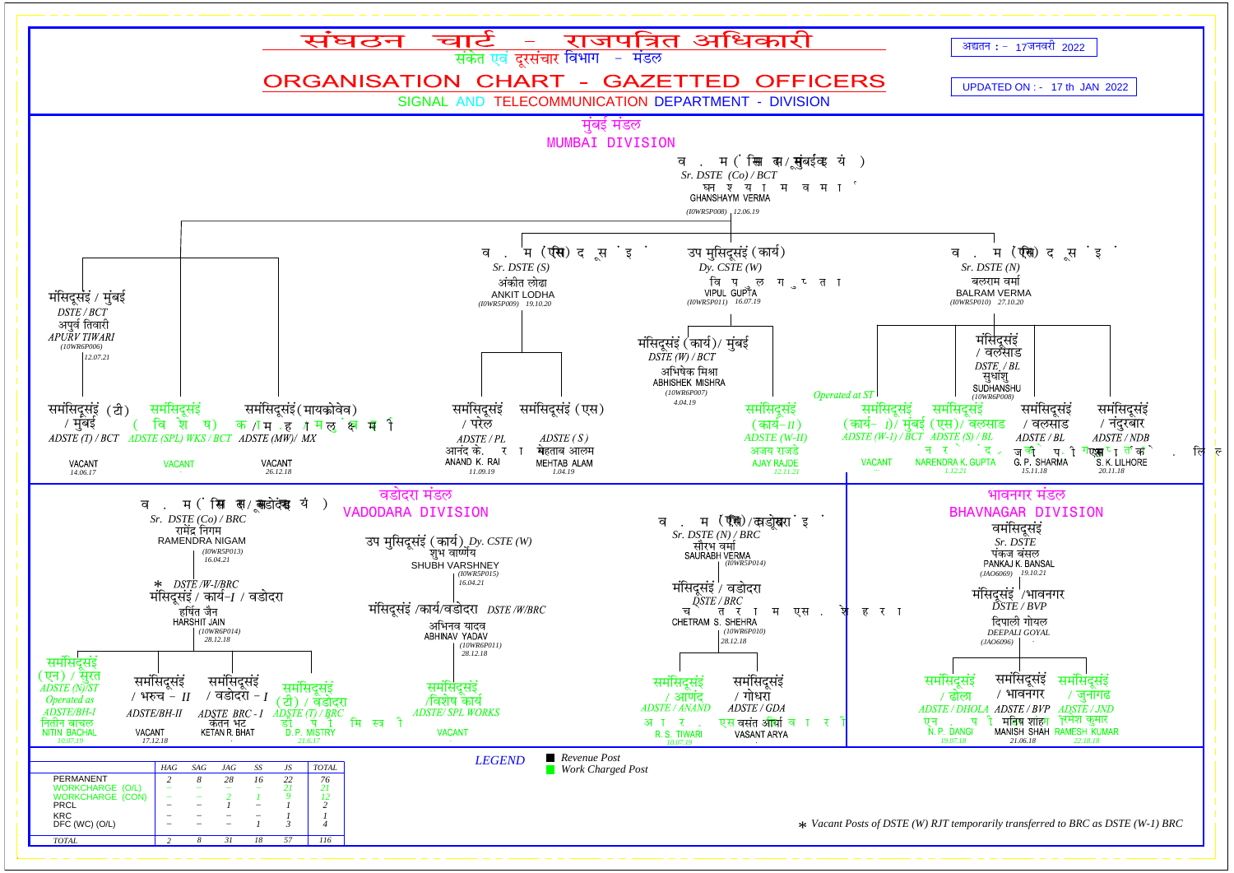